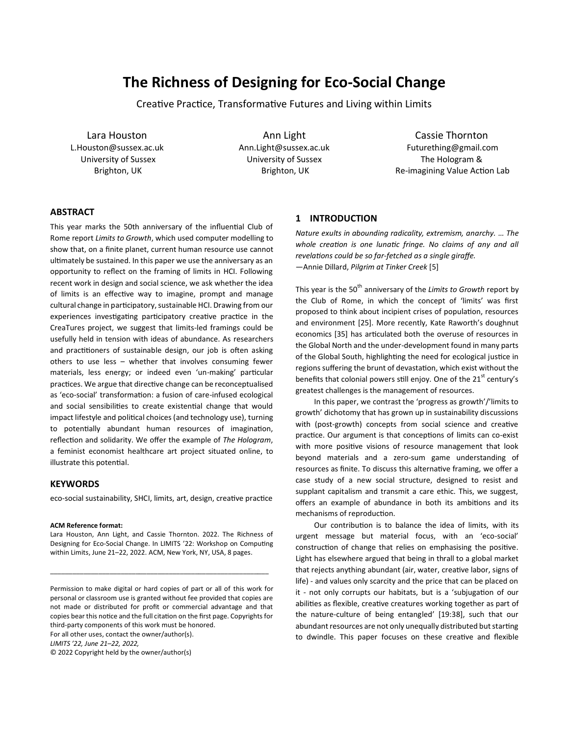# **The Richness of Designing for Eco-Social Change**

Creative Practice, Transformative Futures and Living within Limits

Lara Houston L.Houston@sussex.ac.uk University of Sussex Brighton, UK

Ann Light Ann.Light@sussex.ac.uk University of Sussex Brighton, UK

Cassie Thornton Futurething@gmail.com The Hologram & Re-imagining Value Action Lab

# **ABSTRACT**

This year marks the 50th anniversary of the influential Club of Rome report *Limits to Growth*, which used computer modelling to show that, on a finite planet, current human resource use cannot ultimately be sustained. In this paper we use the anniversary as an opportunity to reflect on the framing of limits in HCI. Following recent work in design and social science, we ask whether the idea of limits is an effective way to imagine, prompt and manage cultural change in participatory, sustainable HCI. Drawing from our experiences investigating participatory creative practice in the CreaTures project, we suggest that limits-led framings could be usefully held in tension with ideas of abundance. As researchers and practitioners of sustainable design, our job is often asking others to use less – whether that involves consuming fewer materials, less energy; or indeed even 'un-making' particular practices. We argue that directive change can be reconceptualised as 'eco-social' transformation: a fusion of care-infused ecological and social sensibilities to create existential change that would impact lifestyle and political choices (and technology use), turning to potentially abundant human resources of imagination, reflection and solidarity. We offer the example of *The Hologram*, a feminist economist healthcare art project situated online, to illustrate this potential.

## **KEYWORDS**

eco-social sustainability, SHCI, limits, art, design, creative practice

#### **ACM Reference format:**

Lara Houston, Ann Light, and Cassie Thornton. 2022. The Richness of Designing for Eco-Social Change. In LIMITS '22: Workshop on Computing within Limits, June 21–22, 2022. ACM, New York, NY, USA, 8 pages.

\_\_\_\_\_\_\_\_\_\_\_\_\_\_\_\_\_\_\_\_\_\_\_\_\_\_\_\_\_\_\_\_\_\_\_\_\_\_\_\_\_\_\_\_\_\_\_\_\_\_\_\_\_\_\_\_\_\_\_

For all other uses, contact the owner/author(s).

*LIMITS '22, June 21–22, 2022,*

© 2022 Copyright held by the owner/author(s)

#### **1 INTRODUCTION**

*Nature exults in abounding radicality, extremism, anarchy. … The whole creation is one lunatic fringe. No claims of any and all revelations could be so far-fetched as a single giraffe.* —Annie Dillard, *Pilgrim at Tinker Creek* [5]

This year is the 50<sup>th</sup> anniversary of the *Limits to Growth* report by the Club of Rome, in which the concept of 'limits' was first proposed to think about incipient crises of population, resources and environment [25]. More recently, Kate Raworth's doughnut economics [35] has articulated both the overuse of resources in the Global North and the under-development found in many parts of the Global South, highlighting the need for ecological justice in regions suffering the brunt of devastation, which exist without the benefits that colonial powers still enjoy. One of the  $21<sup>st</sup>$  century's greatest challenges is the management of resources.

In this paper, we contrast the 'progress as growth'/'limits to growth' dichotomy that has grown up in sustainability discussions with (post-growth) concepts from social science and creative practice. Our argument is that conceptions of limits can co-exist with more positive visions of resource management that look beyond materials and a zero-sum game understanding of resources as finite. To discuss this alternative framing, we offer a case study of a new social structure, designed to resist and supplant capitalism and transmit a care ethic. This, we suggest, offers an example of abundance in both its ambitions and its mechanisms of reproduction.

Our contribution is to balance the idea of limits, with its urgent message but material focus, with an 'eco-social' construction of change that relies on emphasising the positive. Light has elsewhere argued that being in thrall to a global market that rejects anything abundant (air, water, creative labor, signs of life) - and values only scarcity and the price that can be placed on it - not only corrupts our habitats, but is a 'subjugation of our abilities as flexible, creative creatures working together as part of the nature-culture of being entangled' [19:38], such that our abundant resources are not only unequally distributed but starting to dwindle. This paper focuses on these creative and flexible

Permission to make digital or hard copies of part or all of this work for personal or classroom use is granted without fee provided that copies are not made or distributed for profit or commercial advantage and that copies bear this notice and the full citation on the first page. Copyrights for third-party components of this work must be honored.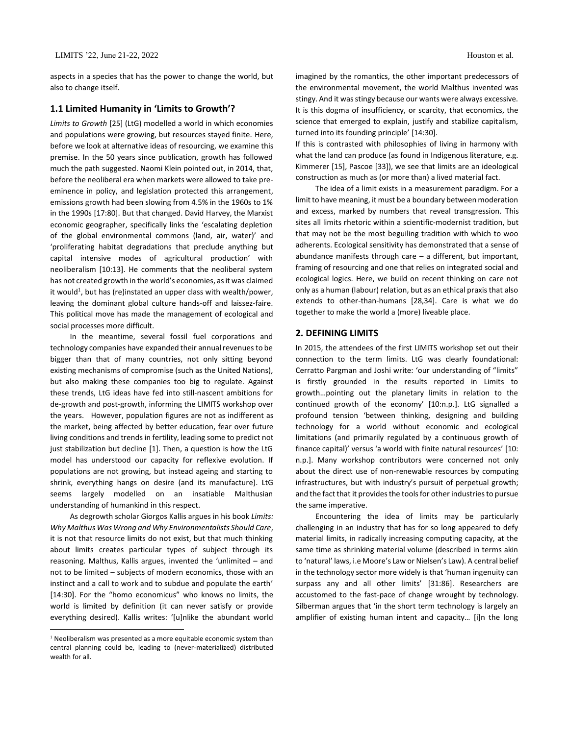aspects in a species that has the power to change the world, but also to change itself.

## **1.1 Limited Humanity in 'Limits to Growth'?**

*Limits to Growth* [25] (LtG) modelled a world in which economies and populations were growing, but resources stayed finite. Here, before we look at alternative ideas of resourcing, we examine this premise. In the 50 years since publication, growth has followed much the path suggested. Naomi Klein pointed out, in 2014, that, before the neoliberal era when markets were allowed to take preeminence in policy, and legislation protected this arrangement, emissions growth had been slowing from 4.5% in the 1960s to 1% in the 1990s [17:80]. But that changed. David Harvey, the Marxist economic geographer, specifically links the 'escalating depletion of the global environmental commons (land, air, water)' and 'proliferating habitat degradations that preclude anything but capital intensive modes of agricultural production' with neoliberalism [10:13]. He comments that the neoliberal system has not created growth in the world's economies, as it was claimed it would<sup>1</sup>, but has (re)instated an upper class with wealth/power, leaving the dominant global culture hands-off and laissez-faire. This political move has made the management of ecological and social processes more difficult.

In the meantime, several fossil fuel corporations and technology companies have expanded their annual revenues to be bigger than that of many countries, not only sitting beyond existing mechanisms of compromise (such as the United Nations), but also making these companies too big to regulate. Against these trends, LtG ideas have fed into still-nascent ambitions for de-growth and post-growth, informing the LIMITS workshop over the years. However, population figures are not as indifferent as the market, being affected by better education, fear over future living conditions and trends in fertility, leading some to predict not just stabilization but decline [1]. Then, a question is how the LtG model has understood our capacity for reflexive evolution. If populations are not growing, but instead ageing and starting to shrink, everything hangs on desire (and its manufacture). LtG seems largely modelled on an insatiable Malthusian understanding of humankind in this respect.

As degrowth scholar Giorgos Kallis argues in his book *Limits: Why Malthus Was Wrong and Why Environmentalists Should Care*, it is not that resource limits do not exist, but that much thinking about limits creates particular types of subject through its reasoning. Malthus, Kallis argues, invented the 'unlimited – and not to be limited – subjects of modern economics, those with an instinct and a call to work and to subdue and populate the earth' [14:30]. For the "homo economicus" who knows no limits, the world is limited by definition (it can never satisfy or provide everything desired). Kallis writes: '[u]nlike the abundant world imagined by the romantics, the other important predecessors of the environmental movement, the world Malthus invented was stingy. And it was stingy because our wants were always excessive. It is this dogma of insufficiency, or scarcity, that economics, the science that emerged to explain, justify and stabilize capitalism, turned into its founding principle' [14:30].

If this is contrasted with philosophies of living in harmony with what the land can produce (as found in Indigenous literature, e.g. Kimmerer [15], Pascoe [33]), we see that limits are an ideological construction as much as (or more than) a lived material fact.

The idea of a limit exists in a measurement paradigm. For a limit to have meaning, it must be a boundary between moderation and excess, marked by numbers that reveal transgression. This sites all limits rhetoric within a scientific-modernist tradition, but that may not be the most beguiling tradition with which to woo adherents. Ecological sensitivity has demonstrated that a sense of abundance manifests through care – a different, but important, framing of resourcing and one that relies on integrated social and ecological logics. Here, we build on recent thinking on care not only as a human (labour) relation, but as an ethical praxis that also extends to other-than-humans [28,34]. Care is what we do together to make the world a (more) liveable place.

## **2. DEFINING LIMITS**

In 2015, the attendees of the first LIMITS workshop set out their connection to the term limits. LtG was clearly foundational: Cerratto Pargman and Joshi write: 'our understanding of "limits" is firstly grounded in the results reported in Limits to growth…pointing out the planetary limits in relation to the continued growth of the economy' [10:n.p.]. LtG signalled a profound tension 'between thinking, designing and building technology for a world without economic and ecological limitations (and primarily regulated by a continuous growth of finance capital)' versus 'a world with finite natural resources' [10: n.p.]. Many workshop contributors were concerned not only about the direct use of non-renewable resources by computing infrastructures, but with industry's pursuit of perpetual growth; and the fact that it provides the tools for other industries to pursue the same imperative.

Encountering the idea of limits may be particularly challenging in an industry that has for so long appeared to defy material limits, in radically increasing computing capacity, at the same time as shrinking material volume (described in terms akin to 'natural' laws, i.e Moore's Law or Nielsen's Law). A central belief in the technology sector more widely is that 'human ingenuity can surpass any and all other limits' [31:86]. Researchers are accustomed to the fast-pace of change wrought by technology. Silberman argues that 'in the short term technology is largely an amplifier of existing human intent and capacity… [i]n the long

<sup>&</sup>lt;sup>1</sup> Neoliberalism was presented as a more equitable economic system than central planning could be, leading to (never-materialized) distributed wealth for all.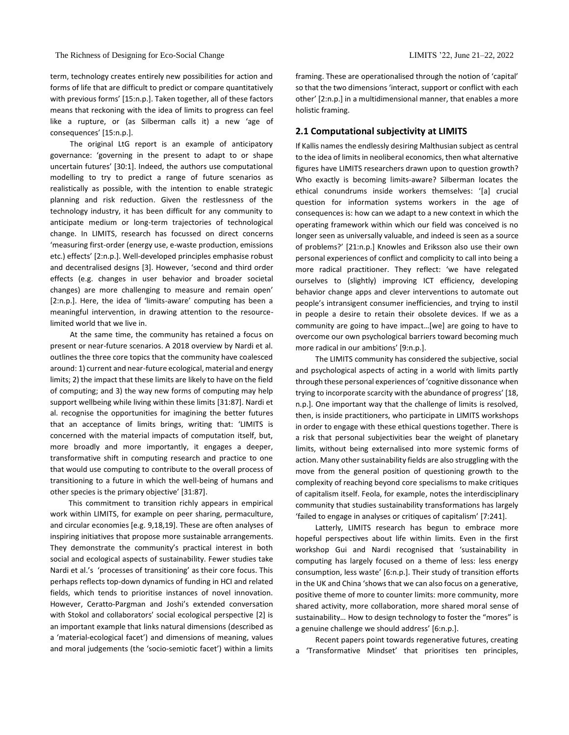The Richness of Designing for Eco-Social Change LIMITS '22, June 21–22, 2022

term, technology creates entirely new possibilities for action and forms of life that are difficult to predict or compare quantitatively with previous forms' [15:n.p.]. Taken together, all of these factors means that reckoning with the idea of limits to progress can feel like a rupture, or (as Silberman calls it) a new 'age of consequences' [15:n.p.].

The original LtG report is an example of anticipatory governance: 'governing in the present to adapt to or shape uncertain futures' [30:1]. Indeed, the authors use computational modelling to try to predict a range of future scenarios as realistically as possible, with the intention to enable strategic planning and risk reduction. Given the restlessness of the technology industry, it has been difficult for any community to anticipate medium or long-term trajectories of technological change. In LIMITS, research has focussed on direct concerns 'measuring first-order (energy use, e-waste production, emissions etc.) effects' [2:n.p.]. Well-developed principles emphasise robust and decentralised designs [3]. However, 'second and third order effects (e.g. changes in user behavior and broader societal changes) are more challenging to measure and remain open' [2:n.p.]. Here, the idea of 'limits-aware' computing has been a meaningful intervention, in drawing attention to the resourcelimited world that we live in.

At the same time, the community has retained a focus on present or near-future scenarios. A 2018 overview by Nardi et al. outlines the three core topics that the community have coalesced around: 1) current and near-future ecological, material and energy limits; 2) the impact that these limits are likely to have on the field of computing; and 3) the way new forms of computing may help support wellbeing while living within these limits [31:87]. Nardi et al. recognise the opportunities for imagining the better futures that an acceptance of limits brings, writing that: 'LIMITS is concerned with the material impacts of computation itself, but, more broadly and more importantly, it engages a deeper, transformative shift in computing research and practice to one that would use computing to contribute to the overall process of transitioning to a future in which the well-being of humans and other species is the primary objective' [31:87].

This commitment to transition richly appears in empirical work within LIMITS, for example on peer sharing, permaculture, and circular economies [e.g. 9,18,19]. These are often analyses of inspiring initiatives that propose more sustainable arrangements. They demonstrate the community's practical interest in both social and ecological aspects of sustainability. Fewer studies take Nardi et al.'s 'processes of transitioning' as their core focus. This perhaps reflects top-down dynamics of funding in HCI and related fields, which tends to prioritise instances of novel innovation. However, Ceratto-Pargman and Joshi's extended conversation with Stokol and collaborators' social ecological perspective [2] is an important example that links natural dimensions (described as a 'material-ecological facet') and dimensions of meaning, values and moral judgements (the 'socio-semiotic facet') within a limits framing. These are operationalised through the notion of 'capital' so that the two dimensions 'interact, support or conflict with each other' [2:n.p.] in a multidimensional manner, that enables a more holistic framing.

# **2.1 Computational subjectivity at LIMITS**

If Kallis names the endlessly desiring Malthusian subject as central to the idea of limits in neoliberal economics, then what alternative figures have LIMITS researchers drawn upon to question growth? Who exactly is becoming limits-aware? Silberman locates the ethical conundrums inside workers themselves: '[a] crucial question for information systems workers in the age of consequences is: how can we adapt to a new context in which the operating framework within which our field was conceived is no longer seen as universally valuable, and indeed is seen as a source of problems?' [21:n.p.] Knowles and Eriksson also use their own personal experiences of conflict and complicity to call into being a more radical practitioner. They reflect: 'we have relegated ourselves to (slightly) improving ICT efficiency, developing behavior change apps and clever interventions to automate out people's intransigent consumer inefficiencies, and trying to instil in people a desire to retain their obsolete devices. If we as a community are going to have impact…[we] are going to have to overcome our own psychological barriers toward becoming much more radical in our ambitions' [9:n.p.].

The LIMITS community has considered the subjective, social and psychological aspects of acting in a world with limits partly through these personal experiences of 'cognitive dissonance when trying to incorporate scarcity with the abundance of progress' [18, n.p.]. One important way that the challenge of limits is resolved, then, is inside practitioners, who participate in LIMITS workshops in order to engage with these ethical questions together. There is a risk that personal subjectivities bear the weight of planetary limits, without being externalised into more systemic forms of action. Many other sustainability fields are also struggling with the move from the general position of questioning growth to the complexity of reaching beyond core specialisms to make critiques of capitalism itself. Feola, for example, notes the interdisciplinary community that studies sustainability transformations has largely 'failed to engage in analyses or critiques of capitalism' [7:241].

Latterly, LIMITS research has begun to embrace more hopeful perspectives about life within limits. Even in the first workshop Gui and Nardi recognised that 'sustainability in computing has largely focused on a theme of less: less energy consumption, less waste' [6:n.p.]. Their study of transition efforts in the UK and China 'shows that we can also focus on a generative, positive theme of more to counter limits: more community, more shared activity, more collaboration, more shared moral sense of sustainability… How to design technology to foster the "mores" is a genuine challenge we should address' [6:n.p.].

Recent papers point towards regenerative futures, creating a 'Transformative Mindset' that prioritises ten principles,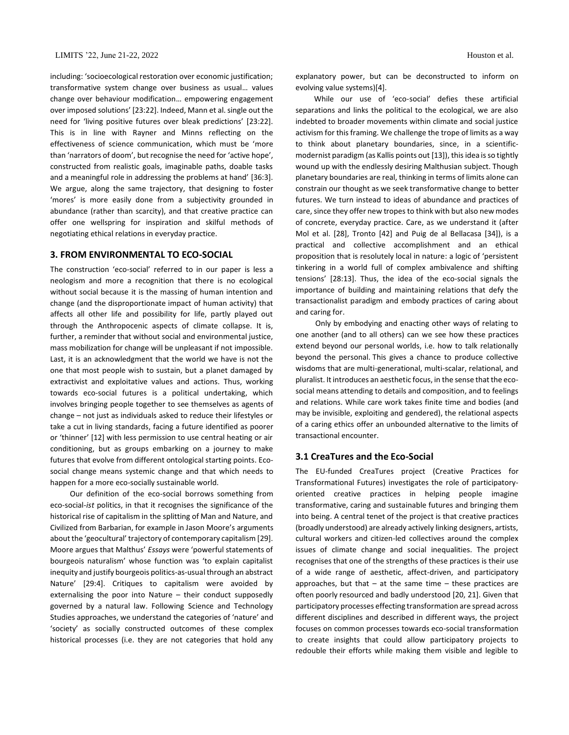including: 'socioecological restoration over economic justification; transformative system change over business as usual… values change over behaviour modification… empowering engagement over imposed solutions' [23:22]. Indeed, Mann et al. single out the need for 'living positive futures over bleak predictions' [23:22]. This is in line with Rayner and Minns reflecting on the effectiveness of science communication, which must be 'more than 'narrators of doom', but recognise the need for 'active hope', constructed from realistic goals, imaginable paths, doable tasks and a meaningful role in addressing the problems at hand' [36:3]. We argue, along the same trajectory, that designing to foster 'mores' is more easily done from a subjectivity grounded in abundance (rather than scarcity), and that creative practice can offer one wellspring for inspiration and skilful methods of negotiating ethical relations in everyday practice.

## **3. FROM ENVIRONMENTAL TO ECO-SOCIAL**

The construction 'eco-social' referred to in our paper is less a neologism and more a recognition that there is no ecological without social because it is the massing of human intention and change (and the disproportionate impact of human activity) that affects all other life and possibility for life, partly played out through the Anthropocenic aspects of climate collapse. It is, further, a reminder that without social and environmental justice, mass mobilization for change will be unpleasant if not impossible. Last, it is an acknowledgment that the world we have is not the one that most people wish to sustain, but a planet damaged by extractivist and exploitative values and actions. Thus, working towards eco-social futures is a political undertaking, which involves bringing people together to see themselves as agents of change – not just as individuals asked to reduce their lifestyles or take a cut in living standards, facing a future identified as poorer or 'thinner' [12] with less permission to use central heating or air conditioning, but as groups embarking on a journey to make futures that evolve from different ontological starting points. Ecosocial change means systemic change and that which needs to happen for a more eco-socially sustainable world.

Our definition of the eco-social borrows something from eco-social-*ist* politics, in that it recognises the significance of the historical rise of capitalism in the splitting of Man and Nature, and Civilized from Barbarian, for example in Jason Moore's arguments about the 'geocultural' trajectory of contemporary capitalism [29]. Moore argues that Malthus' *Essays* were 'powerful statements of bourgeois naturalism' whose function was 'to explain capitalist inequity and justify bourgeois politics-as-usual through an abstract Nature' [29:4]. Critiques to capitalism were avoided by externalising the poor into Nature – their conduct supposedly governed by a natural law. Following Science and Technology Studies approaches, we understand the categories of 'nature' and 'society' as socially constructed outcomes of these complex historical processes (i.e. they are not categories that hold any

explanatory power, but can be deconstructed to inform on evolving value systems)[4].

While our use of 'eco-social' defies these artificial separations and links the political to the ecological, we are also indebted to broader movements within climate and social justice activism for this framing. We challenge the trope of limits as a way to think about planetary boundaries, since, in a scientificmodernist paradigm (as Kallis points out [13]), this idea is so tightly wound up with the endlessly desiring Malthusian subject. Though planetary boundaries are real, thinking in terms of limits alone can constrain our thought as we seek transformative change to better futures. We turn instead to ideas of abundance and practices of care, since they offer new tropes to think with but also new modes of concrete, everyday practice. Care, as we understand it (after Mol et al. [28], Tronto [42] and Puig de al Bellacasa [34]), is a practical and collective accomplishment and an ethical proposition that is resolutely local in nature: a logic of 'persistent tinkering in a world full of complex ambivalence and shifting tensions' [28:13]. Thus, the idea of the eco-social signals the importance of building and maintaining relations that defy the transactionalist paradigm and embody practices of caring about and caring for.

Only by embodying and enacting other ways of relating to one another (and to all others) can we see how these practices extend beyond our personal worlds, i.e. how to talk relationally beyond the personal. This gives a chance to produce collective wisdoms that are multi-generational, multi-scalar, relational, and pluralist. It introduces an aesthetic focus, in the sense that the ecosocial means attending to details and composition, and to feelings and relations. While care work takes finite time and bodies (and may be invisible, exploiting and gendered), the relational aspects of a caring ethics offer an unbounded alternative to the limits of transactional encounter.

# **3.1 CreaTures and the Eco-Social**

The EU-funded CreaTures project (Creative Practices for Transformational Futures) investigates the role of participatoryoriented creative practices in helping people imagine transformative, caring and sustainable futures and bringing them into being. A central tenet of the project is that creative practices (broadly understood) are already actively linking designers, artists, cultural workers and citizen-led collectives around the complex issues of climate change and social inequalities. The project recognises that one of the strengths of these practices is their use of a wide range of aesthetic, affect-driven, and participatory approaches, but that  $-$  at the same time  $-$  these practices are often poorly resourced and badly understood [20, 21]. Given that participatory processes effecting transformation are spread across different disciplines and described in different ways, the project focuses on common processes towards eco-social transformation to create insights that could allow participatory projects to redouble their efforts while making them visible and legible to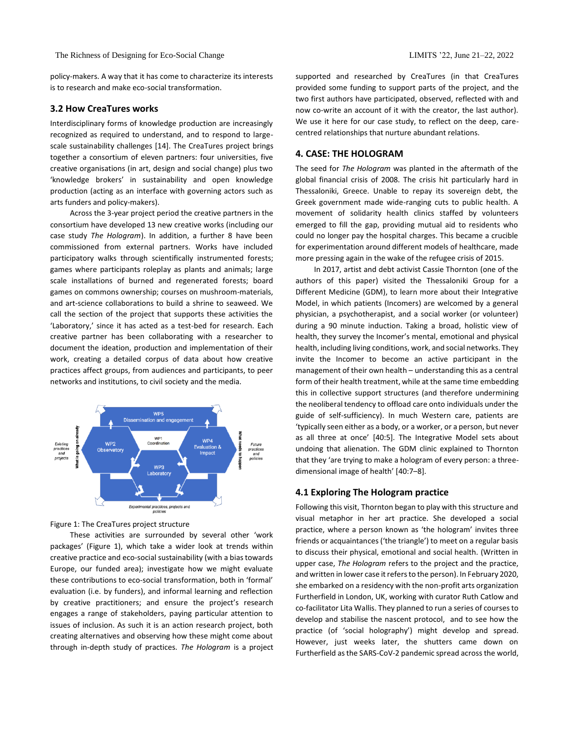policy-makers. A way that it has come to characterize its interests is to research and make eco-social transformation.

# **3.2 How CreaTures works**

Interdisciplinary forms of knowledge production are increasingly recognized as required to understand, and to respond to largescale sustainability challenges [14]. The CreaTures project brings together a consortium of eleven partners: four universities, five creative organisations (in art, design and social change) plus two 'knowledge brokers' in sustainability and open knowledge production (acting as an interface with governing actors such as arts funders and policy-makers).

Across the 3-year project period the creative partners in the consortium have developed 13 new creative works (including our case study *The Hologram*). In addition, a further 8 have been commissioned from external partners. Works have included participatory walks through scientifically instrumented forests; games where participants roleplay as plants and animals; large scale installations of burned and regenerated forests; board games on commons ownership; courses on mushroom-materials, and art-science collaborations to build a shrine to seaweed. We call the section of the project that supports these activities the 'Laboratory,' since it has acted as a test-bed for research. Each creative partner has been collaborating with a researcher to document the ideation, production and implementation of their work, creating a detailed corpus of data about how creative practices affect groups, from audiences and participants, to peer networks and institutions, to civil society and the media.



#### Figure 1: The CreaTures project structure

These activities are surrounded by several other 'work packages' (Figure 1), which take a wider look at trends within creative practice and eco-social sustainability (with a bias towards Europe, our funded area); investigate how we might evaluate these contributions to eco-social transformation, both in 'formal' evaluation (i.e. by funders), and informal learning and reflection by creative practitioners; and ensure the project's research engages a range of stakeholders, paying particular attention to issues of inclusion. As such it is an action research project, both creating alternatives and observing how these might come about through in-depth study of practices. *The Hologram* is a project supported and researched by CreaTures (in that CreaTures provided some funding to support parts of the project, and the two first authors have participated, observed, reflected with and now co-write an account of it with the creator, the last author). We use it here for our case study, to reflect on the deep, carecentred relationships that nurture abundant relations.

#### **4. CASE: THE HOLOGRAM**

The seed for *The Hologram* was planted in the aftermath of the global financial crisis of 2008. The crisis hit particularly hard in Thessaloniki, Greece. Unable to repay its sovereign debt, the Greek government made wide-ranging cuts to public health. A movement of solidarity health clinics staffed by volunteers emerged to fill the gap, providing mutual aid to residents who could no longer pay the hospital charges. This became a crucible for experimentation around different models of healthcare, made more pressing again in the wake of the refugee crisis of 2015.

In 2017, artist and debt activist Cassie Thornton (one of the authors of this paper) visited the Thessaloniki Group for a Different Medicine (GDM), to learn more about their Integrative Model, in which patients (Incomers) are welcomed by a general physician, a psychotherapist, and a social worker (or volunteer) during a 90 minute induction. Taking a broad, holistic view of health, they survey the Incomer's mental, emotional and physical health, including living conditions, work, and social networks. They invite the Incomer to become an active participant in the management of their own health – understanding this as a central form of their health treatment, while at the same time embedding this in collective support structures (and therefore undermining the neoliberal tendency to offload care onto individuals under the guide of self-sufficiency). In much Western care, patients are 'typically seen either as a body, or a worker, or a person, but never as all three at once' [40:5]. The Integrative Model sets about undoing that alienation. The GDM clinic explained to Thornton that they 'are trying to make a hologram of every person: a threedimensional image of health' [40:7–8].

## **4.1 Exploring The Hologram practice**

Following this visit, Thornton began to play with this structure and visual metaphor in her art practice. She developed a social practice, where a person known as 'the hologram' invites three friends or acquaintances ('the triangle') to meet on a regular basis to discuss their physical, emotional and social health. (Written in upper case, *The Hologram* refers to the project and the practice, and written in lower case it refers to the person). In February 2020, she embarked on a residency with the non-profit arts organization Furtherfield in London, UK, working with curator Ruth Catlow and co-facilitator Lita Wallis. They planned to run a series of courses to develop and stabilise the nascent protocol, and to see how the practice (of 'social holography') might develop and spread. However, just weeks later, the shutters came down on Furtherfield as the SARS-CoV-2 pandemic spread across the world,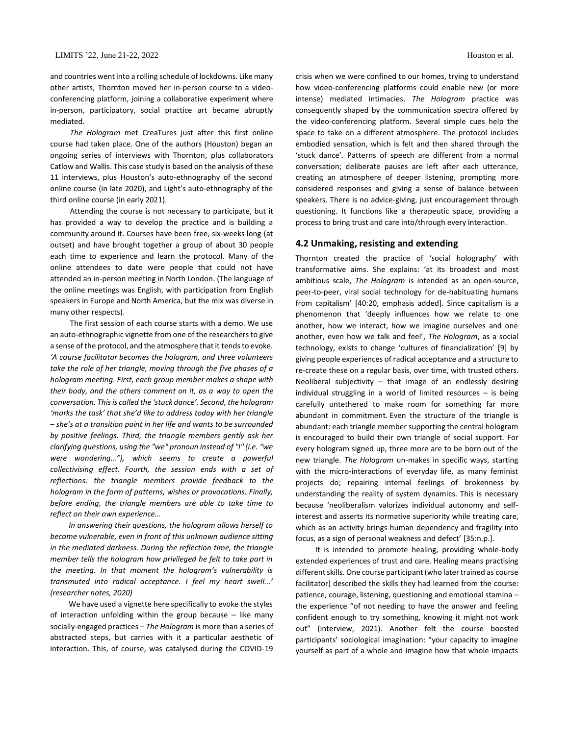and countries went into a rolling schedule of lockdowns. Like many other artists, Thornton moved her in-person course to a videoconferencing platform, joining a collaborative experiment where in-person, participatory, social practice art became abruptly mediated.

*The Hologram* met CreaTures just after this first online course had taken place. One of the authors (Houston) began an ongoing series of interviews with Thornton, plus collaborators Catlow and Wallis. This case study is based on the analysis of these 11 interviews, plus Houston's auto-ethnography of the second online course (in late 2020), and Light's auto-ethnography of the third online course (in early 2021).

Attending the course is not necessary to participate, but it has provided a way to develop the practice and is building a community around it. Courses have been free, six-weeks long (at outset) and have brought together a group of about 30 people each time to experience and learn the protocol. Many of the online attendees to date were people that could not have attended an in-person meeting in North London. (The language of the online meetings was English, with participation from English speakers in Europe and North America, but the mix was diverse in many other respects).

The first session of each course starts with a demo. We use an auto-ethnographic vignette from one of the researchers to give a sense of the protocol, and the atmosphere that it tends to evoke. *'A course facilitator becomes the hologram, and three volunteers take the role of her triangle, moving through the five phases of a hologram meeting. First, each group member makes a shape with their body, and the others comment on it, as a way to open the conversation. This is called the 'stuck dance'. Second, the hologram 'marks the task' that she'd like to address today with her triangle – she's at a transition point in her life and wants to be surrounded by positive feelings. Third, the triangle members gently ask her clarifying questions, using the "we" pronoun instead of "I" (i.e. "we were wondering…"), which seems to create a powerful collectivising effect. Fourth, the session ends with a set of reflections: the triangle members provide feedback to the hologram in the form of patterns, wishes or provocations. Finally, before ending, the triangle members are able to take time to reflect on their own experience…*

*In answering their questions, the hologram allows herself to become vulnerable, even in front of this unknown audience sitting in the mediated darkness. During the reflection time, the triangle member tells the hologram how privileged he felt to take part in the meeting. In that moment the hologram's vulnerability is transmuted into radical acceptance. I feel my heart swell...' (researcher notes, 2020)*

We have used a vignette here specifically to evoke the styles of interaction unfolding within the group because – like many socially-engaged practices – *The Hologram* is more than a series of abstracted steps, but carries with it a particular aesthetic of interaction. This, of course, was catalysed during the COVID-19

crisis when we were confined to our homes, trying to understand how video-conferencing platforms could enable new (or more intense) mediated intimacies. *The Hologram* practice was consequently shaped by the communication spectra offered by the video-conferencing platform. Several simple cues help the space to take on a different atmosphere. The protocol includes embodied sensation, which is felt and then shared through the 'stuck dance'. Patterns of speech are different from a normal conversation; deliberate pauses are left after each utterance, creating an atmosphere of deeper listening, prompting more considered responses and giving a sense of balance between speakers. There is no advice-giving, just encouragement through questioning. It functions like a therapeutic space, providing a process to bring trust and care into/through every interaction.

# **4.2 Unmaking, resisting and extending**

Thornton created the practice of 'social holography' with transformative aims. She explains: 'at its broadest and most ambitious scale, *The Hologram* is intended as an open-source, peer-to-peer, viral social technology for de-habituating humans from capitalism' [40:20, emphasis added]. Since capitalism is a phenomenon that 'deeply influences how we relate to one another, how we interact, how we imagine ourselves and one another, even how we talk and feel', *The Hologram*, as a social technology, exists to change 'cultures of financialization' [9] by giving people experiences of radical acceptance and a structure to re-create these on a regular basis, over time, with trusted others. Neoliberal subjectivity – that image of an endlessly desiring individual struggling in a world of limited resources – is being carefully untethered to make room for something far more abundant in commitment. Even the structure of the triangle is abundant: each triangle member supporting the central hologram is encouraged to build their own triangle of social support. For every hologram signed up, three more are to be born out of the new triangle. *The Hologram* un-makes in specific ways, starting with the micro-interactions of everyday life, as many feminist projects do; repairing internal feelings of brokenness by understanding the reality of system dynamics. This is necessary because 'neoliberalism valorizes individual autonomy and selfinterest and asserts its normative superiority while treating care, which as an activity brings human dependency and fragility into focus, as a sign of personal weakness and defect' [35:n.p.].

It is intended to promote healing, providing whole-body extended experiences of trust and care. Healing means practising different skills. One course participant (who later trained as course facilitator) described the skills they had learned from the course: patience, courage, listening, questioning and emotional stamina – the experience "of not needing to have the answer and feeling confident enough to try something, knowing it might not work out" (interview, 2021). Another felt the course boosted participants' sociological imagination: "your capacity to imagine yourself as part of a whole and imagine how that whole impacts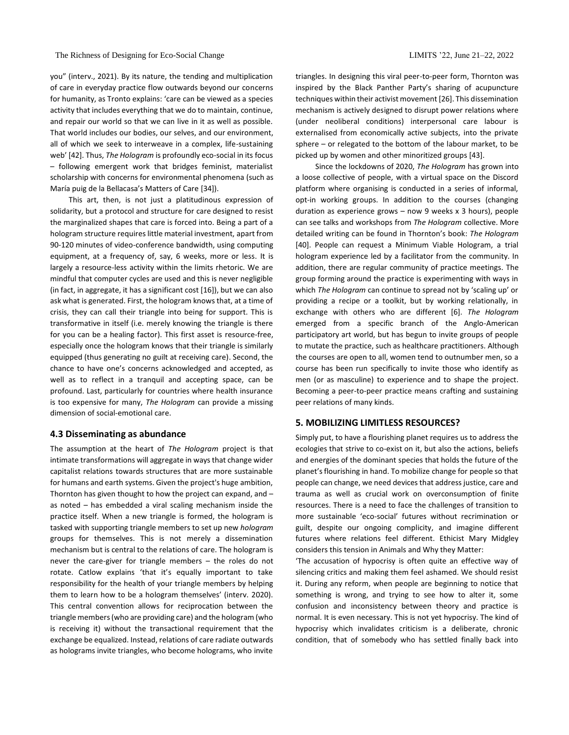you" (interv., 2021). By its nature, the tending and multiplication of care in everyday practice flow outwards beyond our concerns for humanity, as Tronto explains: 'care can be viewed as a species activity that includes everything that we do to maintain, continue, and repair our world so that we can live in it as well as possible. That world includes our bodies, our selves, and our environment, all of which we seek to interweave in a complex, life-sustaining web' [42]. Thus, *The Hologram* is profoundly eco-social in its focus – following emergent work that bridges feminist, materialist scholarship with concerns for environmental phenomena (such as María puig de la Bellacasa's Matters of Care [34]).

This art, then, is not just a platitudinous expression of solidarity, but a protocol and structure for care designed to resist the marginalized shapes that care is forced into. Being a part of a hologram structure requires little material investment, apart from 90-120 minutes of video-conference bandwidth, using computing equipment, at a frequency of, say, 6 weeks, more or less. It is largely a resource-less activity within the limits rhetoric. We are mindful that computer cycles are used and this is never negligible (in fact, in aggregate, it has a significant cost [16]), but we can also ask what is generated. First, the hologram knows that, at a time of crisis, they can call their triangle into being for support. This is transformative in itself (i.e. merely knowing the triangle is there for you can be a healing factor). This first asset is resource-free, especially once the hologram knows that their triangle is similarly equipped (thus generating no guilt at receiving care). Second, the chance to have one's concerns acknowledged and accepted, as well as to reflect in a tranquil and accepting space, can be profound. Last, particularly for countries where health insurance is too expensive for many, *The Hologram* can provide a missing dimension of social-emotional care.

## **4.3 Disseminating as abundance**

The assumption at the heart of *The Hologram* project is that intimate transformations will aggregate in ways that change wider capitalist relations towards structures that are more sustainable for humans and earth systems. Given the project's huge ambition, Thornton has given thought to how the project can expand, and – as noted – has embedded a viral scaling mechanism inside the practice itself. When a new triangle is formed, the hologram is tasked with supporting triangle members to set up new *hologram* groups for themselves. This is not merely a dissemination mechanism but is central to the relations of care. The hologram is never the care-giver for triangle members – the roles do not rotate. Catlow explains 'that it's equally important to take responsibility for the health of your triangle members by helping them to learn how to be a hologram themselves' (interv. 2020). This central convention allows for reciprocation between the triangle members (who are providing care) and the hologram (who is receiving it) without the transactional requirement that the exchange be equalized. Instead, relations of care radiate outwards as holograms invite triangles, who become holograms, who invite

triangles. In designing this viral peer-to-peer form, Thornton was inspired by the Black Panther Party's sharing of acupuncture techniques within their activist movement [26]. This dissemination mechanism is actively designed to disrupt power relations where (under neoliberal conditions) interpersonal care labour is externalised from economically active subjects, into the private sphere – or relegated to the bottom of the labour market, to be picked up by women and other minoritized groups [43].

Since the lockdowns of 2020, *The Hologram* has grown into a loose collective of people, with a virtual space on the Discord platform where organising is conducted in a series of informal, opt-in working groups. In addition to the courses (changing duration as experience grows – now 9 weeks x 3 hours), people can see talks and workshops from *The Hologram* collective. More detailed writing can be found in Thornton's book: *The Hologram* [40]. People can request a Minimum Viable Hologram, a trial hologram experience led by a facilitator from the community. In addition, there are regular community of practice meetings. The group forming around the practice is experimenting with ways in which *The Hologram* can continue to spread not by 'scaling up' or providing a recipe or a toolkit, but by working relationally, in exchange with others who are different [6]. *The Hologram* emerged from a specific branch of the Anglo-American participatory art world, but has begun to invite groups of people to mutate the practice, such as healthcare practitioners. Although the courses are open to all, women tend to outnumber men, so a course has been run specifically to invite those who identify as men (or as masculine) to experience and to shape the project. Becoming a peer-to-peer practice means crafting and sustaining peer relations of many kinds.

# **5. MOBILIZING LIMITLESS RESOURCES?**

Simply put, to have a flourishing planet requires us to address the ecologies that strive to co-exist on it, but also the actions, beliefs and energies of the dominant species that holds the future of the planet's flourishing in hand. To mobilize change for people so that people can change, we need devices that address justice, care and trauma as well as crucial work on overconsumption of finite resources. There is a need to face the challenges of transition to more sustainable 'eco-social' futures without recrimination or guilt, despite our ongoing complicity, and imagine different futures where relations feel different. Ethicist Mary Midgley considers this tension in Animals and Why they Matter:

'The accusation of hypocrisy is often quite an effective way of silencing critics and making them feel ashamed. We should resist it. During any reform, when people are beginning to notice that something is wrong, and trying to see how to alter it, some confusion and inconsistency between theory and practice is normal. It is even necessary. This is not yet hypocrisy. The kind of hypocrisy which invalidates criticism is a deliberate, chronic condition, that of somebody who has settled finally back into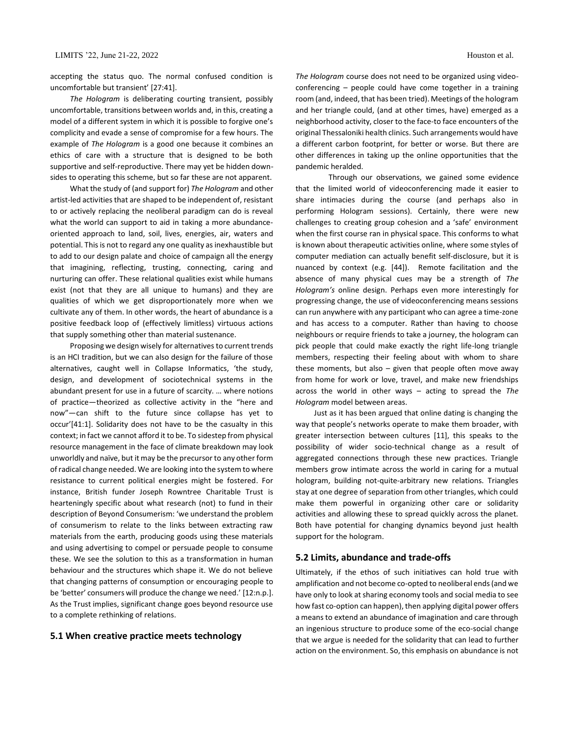accepting the status quo. The normal confused condition is uncomfortable but transient' [27:41].

*The Hologram* is deliberating courting transient, possibly uncomfortable, transitions between worlds and, in this, creating a model of a different system in which it is possible to forgive one's complicity and evade a sense of compromise for a few hours. The example of *The Hologram* is a good one because it combines an ethics of care with a structure that is designed to be both supportive and self-reproductive. There may yet be hidden downsides to operating this scheme, but so far these are not apparent.

What the study of (and support for) *The Hologram* and other artist-led activities that are shaped to be independent of, resistant to or actively replacing the neoliberal paradigm can do is reveal what the world can support to aid in taking a more abundanceoriented approach to land, soil, lives, energies, air, waters and potential. This is not to regard any one quality as inexhaustible but to add to our design palate and choice of campaign all the energy that imagining, reflecting, trusting, connecting, caring and nurturing can offer. These relational qualities exist while humans exist (not that they are all unique to humans) and they are qualities of which we get disproportionately more when we cultivate any of them. In other words, the heart of abundance is a positive feedback loop of (effectively limitless) virtuous actions that supply something other than material sustenance.

Proposing we design wisely for alternatives to current trends is an HCI tradition, but we can also design for the failure of those alternatives, caught well in Collapse Informatics, 'the study, design, and development of sociotechnical systems in the abundant present for use in a future of scarcity. … where notions of practice—theorized as collective activity in the "here and now"—can shift to the future since collapse has yet to occur'[41:1]. Solidarity does not have to be the casualty in this context; in fact we cannot afford it to be. To sidestep from physical resource management in the face of climate breakdown may look unworldly and naïve, but it may be the precursor to any other form of radical change needed. We are looking into the system to where resistance to current political energies might be fostered. For instance, British funder Joseph Rowntree Charitable Trust is hearteningly specific about what research (not) to fund in their description of Beyond Consumerism: 'we understand the problem of consumerism to relate to the links between extracting raw materials from the earth, producing goods using these materials and using advertising to compel or persuade people to consume these. We see the solution to this as a transformation in human behaviour and the structures which shape it. We do not believe that changing patterns of consumption or encouraging people to be 'better' consumers will produce the change we need.' [12:n.p.]. As the Trust implies, significant change goes beyond resource use to a complete rethinking of relations.

# **5.1 When creative practice meets technology**

*The Hologram* course does not need to be organized using videoconferencing – people could have come together in a training room (and, indeed, that has been tried). Meetings of the hologram and her triangle could, (and at other times, have) emerged as a neighborhood activity, closer to the face-to face encounters of the original Thessaloniki health clinics. Such arrangements would have a different carbon footprint, for better or worse. But there are other differences in taking up the online opportunities that the pandemic heralded.

Through our observations, we gained some evidence that the limited world of videoconferencing made it easier to share intimacies during the course (and perhaps also in performing Hologram sessions). Certainly, there were new challenges to creating group cohesion and a 'safe' environment when the first course ran in physical space. This conforms to what is known about therapeutic activities online, where some styles of computer mediation can actually benefit self-disclosure, but it is nuanced by context (e.g. [44]). Remote facilitation and the absence of many physical cues may be a strength of *The Hologram's* online design. Perhaps even more interestingly for progressing change, the use of videoconferencing means sessions can run anywhere with any participant who can agree a time-zone and has access to a computer. Rather than having to choose neighbours or require friends to take a journey, the hologram can pick people that could make exactly the right life-long triangle members, respecting their feeling about with whom to share these moments, but also  $-$  given that people often move away from home for work or love, travel, and make new friendships across the world in other ways – acting to spread the *The Hologram* model between areas.

Just as it has been argued that online dating is changing the way that people's networks operate to make them broader, with greater intersection between cultures [11], this speaks to the possibility of wider socio-technical change as a result of aggregated connections through these new practices. Triangle members grow intimate across the world in caring for a mutual hologram, building not-quite-arbitrary new relations. Triangles stay at one degree of separation from other triangles, which could make them powerful in organizing other care or solidarity activities and allowing these to spread quickly across the planet. Both have potential for changing dynamics beyond just health support for the hologram.

### **5.2 Limits, abundance and trade-offs**

Ultimately, if the ethos of such initiatives can hold true with amplification and not become co-opted to neoliberal ends (and we have only to look at sharing economy tools and social media to see how fast co-option can happen), then applying digital power offers a means to extend an abundance of imagination and care through an ingenious structure to produce some of the eco-social change that we argue is needed for the solidarity that can lead to further action on the environment. So, this emphasis on abundance is not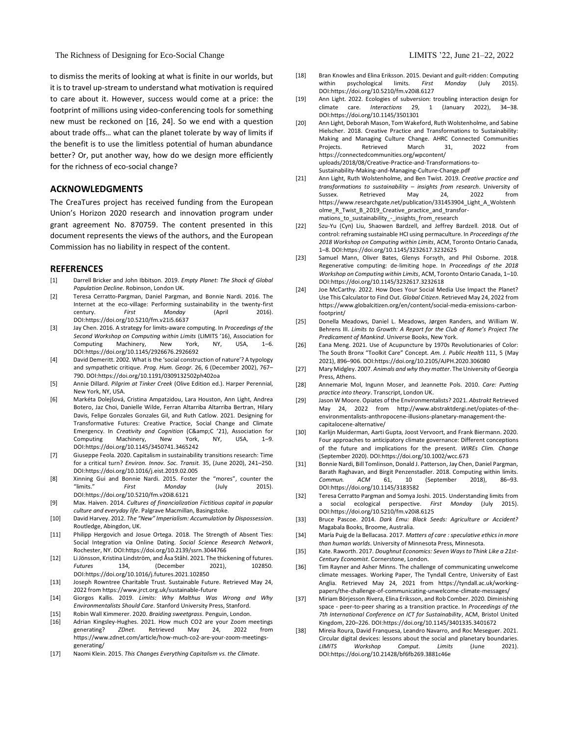The Richness of Designing for Eco-Social Change LIMITS '22, June 21–22, 2022

to dismiss the merits of looking at what is finite in our worlds, but it is to travel up-stream to understand what motivation is required to care about it. However, success would come at a price: the footprint of millions using video-conferencing tools for something new must be reckoned on [16, 24]. So we end with a question about trade offs… what can the planet tolerate by way of limits if the benefit is to use the limitless potential of human abundance better? Or, put another way, how do we design more efficiently for the richness of eco-social change?

# **ACKNOWLEDGMENTS**

The CreaTures project has received funding from the European Union's Horizon 2020 research and innovation program under grant agreement No. 870759. The content presented in this document represents the views of the authors, and the European Commission has no liability in respect of the content.

## **REFERENCES**

- [1] Darrell Bricker and John Ibbitson. 2019. *Empty Planet: The Shock of Global Population Decline*. Robinson, London UK.
- [2] Teresa Cerratto-Pargman, Daniel Pargman, and Bonnie Nardi. 2016. The Internet at the eco-village: Performing sustainability in the twenty-first century. *First Monday* (April 2016). DOI:https://doi.org/10.5210/fm.v21i5.6637
- [3] Jay Chen. 2016. A strategy for limits-aware computing. In *Proceedings of the Second Workshop on Computing within Limits* (LIMITS '16), Association for Computing Machinery, New York, NY, USA, 1–6. DOI:https://doi.org/10.1145/2926676.2926692
- [4] David Demeritt. 2002. What is the 'social construction of nature'? A typology and sympathetic critique. *Prog. Hum. Geogr.* 26, 6 (December 2002), 767– 790. DOI:https://doi.org/10.1191/0309132502ph402oa
- [5] Annie Dillard. *Pilgrim at Tinker Creek* (Olive Edition ed.). Harper Perennial, New York, NY, USA.
- [6] Markéta Dolejšová, Cristina Ampatzidou, Lara Houston, Ann Light, Andrea Botero, Jaz Choi, Danielle Wilde, Ferran Altarriba Altarriba Bertran, Hilary Davis, Felipe Gonzales Gonzales Gil, and Ruth Catlow. 2021. Designing for Transformative Futures: Creative Practice, Social Change and Climate Emergency. In *Creativity and Cognition* (C&C '21), Association for Computing Machinery, New York, NY, USA, 1–9. DOI:https://doi.org/10.1145/3450741.3465242
- [7] Giuseppe Feola. 2020. Capitalism in sustainability transitions research: Time for a critical turn? *Environ. Innov. Soc. Transit.* 35, (June 2020), 241–250. DOI:https://doi.org/10.1016/j.eist.2019.02.005
- [8] Xinning Gui and Bonnie Nardi. 2015. Foster the "mores", counter the "limits." *First Monday* (July 2015). DOI:https://doi.org/10.5210/fm.v20i8.6121
- [9] Max. Haiven. 2014. *Cultures of financialization Fictitious capital in popular culture and everyday life*. Palgrave Macmillan, Basingstoke.
- [10] David Harvey. 2012. *The "New" Imperialism: Accumulation by Dispossession*. Routledge, Abingdon, UK.
- [11] Philipp Hergovich and Josue Ortega. 2018. The Strength of Absent Ties: Social Integration via Online Dating. *Social Science Research Network*, Rochester, NY. DOI:https://doi.org/10.2139/ssrn.3044766
- [12] Li Jönsson, Kristina Lindström, and Åsa Ståhl. 2021. The thickening of futures. *Futures* 134, (December 2021), 102850. DOI:https://doi.org/10.1016/j.futures.2021.102850
- [13] Joseph Rowntree Charitable Trust. Sustainable Future. Retrieved May 24, 2022 from https://www.jrct.org.uk/sustainable-future
- [14] Giorgos Kallis. 2019. *Limits: Why Malthus Was Wrong and Why Environmentalists Should Care*. Stanford University Press, Stanford.
- 
- [15] Robin Wall Kimmerer. 2020. *Braiding sweetgrass*. Penguin, London. Adrian Kingsley-Hughes. 2021. How much CO2 are your Zoom meetings generating? *ZDnet*. Retrieved May 24, 2022 from https://www.zdnet.com/article/how-much-co2-are-your-zoom-meetingsgenerating/
- [17] Naomi Klein. 2015. *This Changes Everything Capitalism vs. the Climate*.
- [18] Bran Knowles and Elina Eriksson. 2015. Deviant and guilt-ridden: Computing within psychological limits. *First Monday* (July 2015). DOI:https://doi.org/10.5210/fm.v20i8.6127
- [19] Ann Light. 2022. Ecologies of subversion: troubling interaction design for<br>climate care. Interactions 29, 1 (January 2022), 34–38. climate care. *Interactions* 29, 1 (January 2022), 34–38. DOI:https://doi.org/10.1145/3501301
- [20] Ann Light, Deborah Mason, Tom Wakeford, Ruth Wolstenholme, and Sabine Hielscher. 2018. Creative Practice and Transformations to Sustainability: Making and Managing Culture Change. AHRC Connected Communities Retrieved https://connectedcommunities.org/wpcontent/ uploads/2018/08/Creative-Practice-and-Transformations-to-Sustainability-Making-and-Managing-Culture-Change.pdf
- [21] Ann Light, Ruth Wolstenholme, and Ben Twist. 2019. *Creative practice and transformations to sustainability – insights from research*. University of Sussex. Retrieved May 24, 2022 from https://www.researchgate.net/publication/331453904\_Light\_A\_Wolstenh olme\_R\_Twist\_B\_2019\_Creative\_practice\_and\_transformations\_to\_sustainability\_-\_insights\_from\_research
- [22] Szu-Yu (Cyn) Liu, Shaowen Bardzell, and Jeffrey Bardzell. 2018. Out of control: reframing sustainable HCI using permaculture. In *Proceedings of the 2018 Workshop on Computing within Limits*, ACM, Toronto Ontario Canada, 1–8. DOI:https://doi.org/10.1145/3232617.3232625
- [23] Samuel Mann, Oliver Bates, Glenys Forsyth, and Phil Osborne. 2018. Regenerative computing: de-limiting hope. In *Proceedings of the 2018 Workshop on Computing within Limits*, ACM, Toronto Ontario Canada, 1–10. DOI:https://doi.org/10.1145/3232617.3232618
- [24] Joe McCarthy. 2022. How Does Your Social Media Use Impact the Planet? Use This Calculator to Find Out. *Global Citizen*. Retrieved May 24, 2022 from https://www.globalcitizen.org/en/content/social-media-emissions-carbonfootprint/
- [25] Donella Meadows, Daniel L. Meadows, Jørgen Randers, and William W. Behrens III. *Limits to Growth: A Report for the Club of Rome's Project The Predicament of Mankind*. Universe Books, New York.
- [26] Eana Meng. 2021. Use of Acupuncture by 1970s Revolutionaries of Color: The South Bronx "Toolkit Care" Concept. *Am. J. Public Health* 111, 5 (May 2021), 896–906. DOI:https://doi.org/10.2105/AJPH.2020.306080
- [27] Mary Midgley. 2007. *Animals and why they matter*. The University of Georgia Press, Athens.
- [28] Annemarie Mol, Ingunn Moser, and Jeannette Pols. 2010. *Care: Putting practice into theory*. Transcript, London UK.
- [29] Jason W Moore. Opiates of the Environmentalists? 2021. *Abstrakt* Retrieved May 24, 2022 from http://www.abstraktdergi.net/opiates-of-theenvironmentalists-anthropocene-illusions-planetary-management-thecapitalocene-alternative/
- [30] Karlijn Muiderman, Aarti Gupta, Joost Vervoort, and Frank Biermann. 2020. Four approaches to anticipatory climate governance: Different conceptions of the future and implications for the present. *WIREs Clim. Change* (September 2020). DOI:https://doi.org/10.1002/wcc.673
- [31] Bonnie Nardi, Bill Tomlinson, Donald J. Patterson, Jay Chen, Daniel Pargman, Barath Raghavan, and Birgit Penzenstadler. 2018. Computing within limits. *Commun. ACM* 61, 10 (September 2018), 86–93. DOI:https://doi.org/10.1145/3183582
- [32] Teresa Cerratto Pargman and Somya Joshi. 2015. Understanding limits from social ecological perspective. First Monday (July 2015). DOI:https://doi.org/10.5210/fm.v20i8.6125
- [33] Bruce Pascoe. 2014. *Dark Emu: Black Seeds: Agriculture or Accident?* Magabala Books, Broome, Australia.
- [34] María Puig de la Bellacasa. 2017. *Matters of care : speculative ethics in more than human worlds*. University of Minnesota Press, Minnesota.
- [35] Kate. Raworth. 2017. *Doughnut Economics: Seven Ways to Think Like a 21st-Century Economist*. Cornerstone, London.
- [36] Tim Rayner and Asher Minns. The challenge of communicating unwelcome climate messages. Working Paper, The Tyndall Centre, University of East Anglia. Retrieved May 24, 2021 from https://tyndall.ac.uk/workingpapers/the-challenge-of-communicating-unwelcome-climate-messages/
- [37] Miriam Börjesson Rivera, Elina Eriksson, and Rob Comber. 2020. Diminishing space - peer-to-peer sharing as a transition practice. In *Proceedings of the 7th International Conference on ICT for Sustainability*, ACM, Bristol United Kingdom, 220–226. DOI:https://doi.org/10.1145/3401335.3401672
- [38] Mireia Roura, David Franquesa, Leandro Navarro, and Roc Meseguer. 2021. Circular digital devices: lessons about the social and planetary boundaries. *LIMITS Workshop Comput. Limits* (June 2021). DOI:https://doi.org/10.21428/bf6fb269.3881c46e